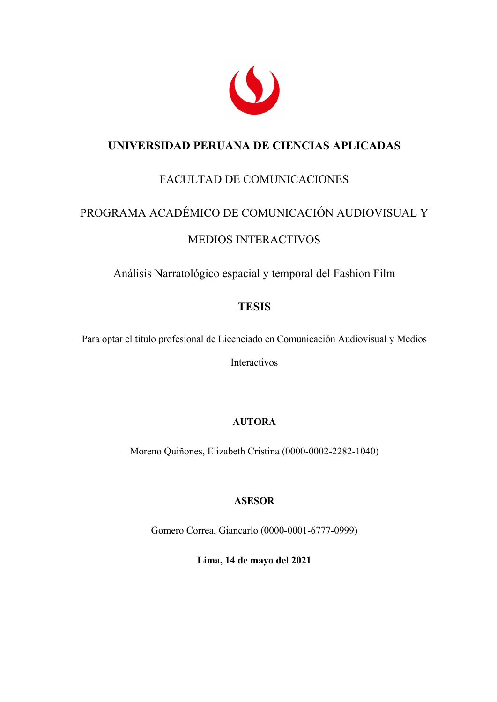

## **UNIVERSIDAD PERUANA DE CIENCIAS APLICADAS**

# FACULTAD DE COMUNICACIONES

# PROGRAMA ACADÉMICO DE COMUNICACIÓN AUDIOVISUAL Y

#### MEDIOS INTERACTIVOS

Análisis Narratológico espacial y temporal del Fashion Film

### **TESIS**

Para optar el título profesional de Licenciado en Comunicación Audiovisual y Medios

Interactivos

#### **AUTORA**

Moreno Quiñones, Elizabeth Cristina (0000-0002-2282-1040)

#### **ASESOR**

Gomero Correa, Giancarlo (0000-0001-6777-0999)

**Lima, 14 de mayo del 2021**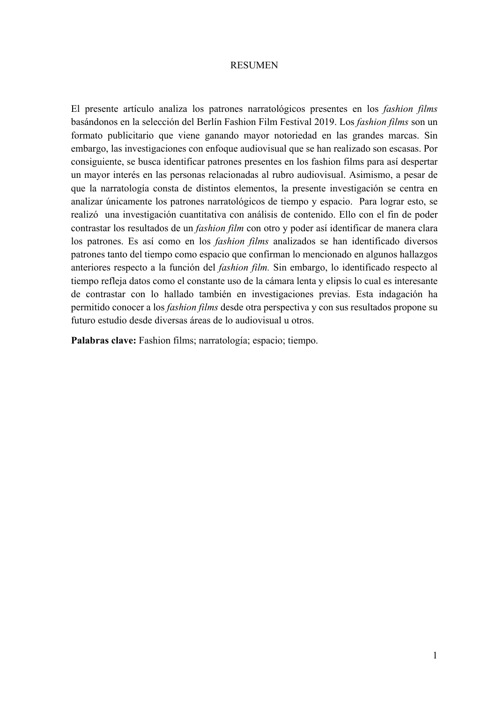#### RESUMEN

El presente artículo analiza los patrones narratológicos presentes en los *fashion films* basándonos en la selección del Berlín Fashion Film Festival 2019. Los *fashion films* son un formato publicitario que viene ganando mayor notoriedad en las grandes marcas. Sin embargo, las investigaciones con enfoque audiovisual que se han realizado son escasas. Por consiguiente, se busca identificar patrones presentes en los fashion films para así despertar un mayor interés en las personas relacionadas al rubro audiovisual. Asimismo, a pesar de que la narratología consta de distintos elementos, la presente investigación se centra en analizar únicamente los patrones narratológicos de tiempo y espacio. Para lograr esto, se realizó una investigación cuantitativa con análisis de contenido. Ello con el fin de poder contrastar los resultados de un *fashion film* con otro y poder así identificar de manera clara los patrones. Es así como en los *fashion films* analizados se han identificado diversos patrones tanto del tiempo como espacio que confirman lo mencionado en algunos hallazgos anteriores respecto a la función del *fashion film.* Sin embargo, lo identificado respecto al tiempo refleja datos como el constante uso de la cámara lenta y elipsis lo cual es interesante de contrastar con lo hallado también en investigaciones previas. Esta indagación ha permitido conocer a los *fashion films* desde otra perspectiva y con sus resultados propone su futuro estudio desde diversas áreas de lo audiovisual u otros.

**Palabras clave:** Fashion films; narratología; espacio; tiempo.